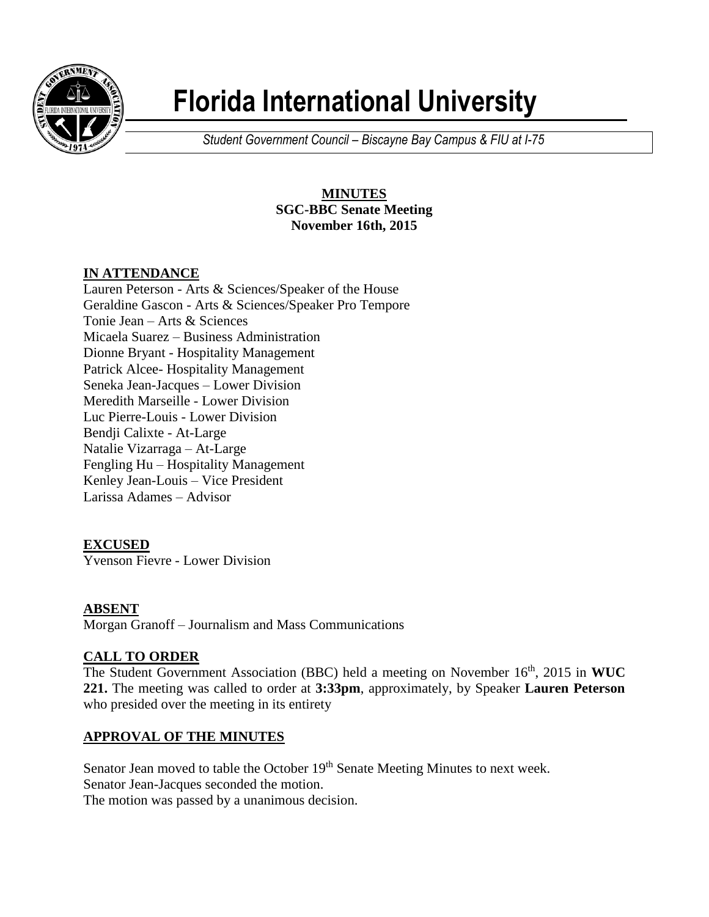

# **Florida International University**

*Student Government Council – Biscayne Bay Campus & FIU at I-75*

## **MINUTES SGC-BBC Senate Meeting November 16th, 2015**

## **IN ATTENDANCE**

Lauren Peterson - Arts & Sciences/Speaker of the House Geraldine Gascon - Arts & Sciences/Speaker Pro Tempore Tonie Jean – Arts & Sciences Micaela Suarez – Business Administration Dionne Bryant - Hospitality Management Patrick Alcee- Hospitality Management Seneka Jean-Jacques – Lower Division Meredith Marseille - Lower Division Luc Pierre-Louis - Lower Division Bendji Calixte - At-Large Natalie Vizarraga – At-Large Fengling Hu – Hospitality Management Kenley Jean-Louis – Vice President Larissa Adames – Advisor

# **EXCUSED**

Yvenson Fievre - Lower Division

#### **ABSENT**

Morgan Granoff – Journalism and Mass Communications

## **CALL TO ORDER**

The Student Government Association (BBC) held a meeting on November 16<sup>th</sup>, 2015 in WUC **221.** The meeting was called to order at **3:33pm**, approximately, by Speaker **Lauren Peterson** who presided over the meeting in its entirety

## **APPROVAL OF THE MINUTES**

Senator Jean moved to table the October 19<sup>th</sup> Senate Meeting Minutes to next week.

Senator Jean-Jacques seconded the motion.

The motion was passed by a unanimous decision.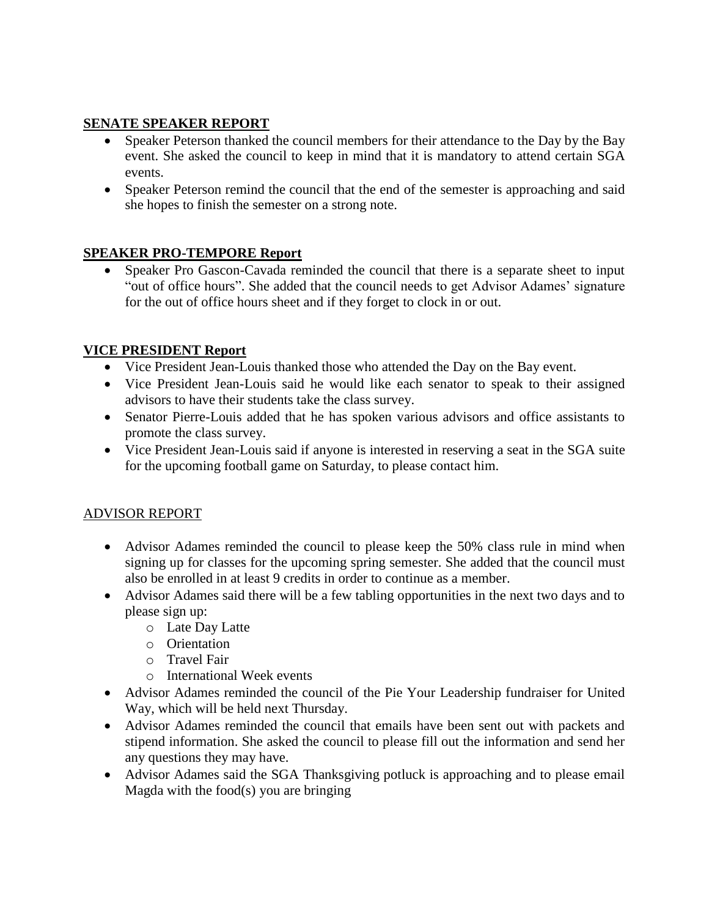## **SENATE SPEAKER REPORT**

- Speaker Peterson thanked the council members for their attendance to the Day by the Bay event. She asked the council to keep in mind that it is mandatory to attend certain SGA events.
- Speaker Peterson remind the council that the end of the semester is approaching and said she hopes to finish the semester on a strong note.

#### **SPEAKER PRO-TEMPORE Report**

 Speaker Pro Gascon-Cavada reminded the council that there is a separate sheet to input "out of office hours". She added that the council needs to get Advisor Adames' signature for the out of office hours sheet and if they forget to clock in or out.

## **VICE PRESIDENT Report**

- Vice President Jean-Louis thanked those who attended the Day on the Bay event.
- Vice President Jean-Louis said he would like each senator to speak to their assigned advisors to have their students take the class survey.
- Senator Pierre-Louis added that he has spoken various advisors and office assistants to promote the class survey.
- Vice President Jean-Louis said if anyone is interested in reserving a seat in the SGA suite for the upcoming football game on Saturday, to please contact him.

#### ADVISOR REPORT

- Advisor Adames reminded the council to please keep the 50% class rule in mind when signing up for classes for the upcoming spring semester. She added that the council must also be enrolled in at least 9 credits in order to continue as a member.
- Advisor Adames said there will be a few tabling opportunities in the next two days and to please sign up:
	- o Late Day Latte
	- o Orientation
	- o Travel Fair
	- o International Week events
- Advisor Adames reminded the council of the Pie Your Leadership fundraiser for United Way, which will be held next Thursday.
- Advisor Adames reminded the council that emails have been sent out with packets and stipend information. She asked the council to please fill out the information and send her any questions they may have.
- Advisor Adames said the SGA Thanksgiving potluck is approaching and to please email Magda with the food(s) you are bringing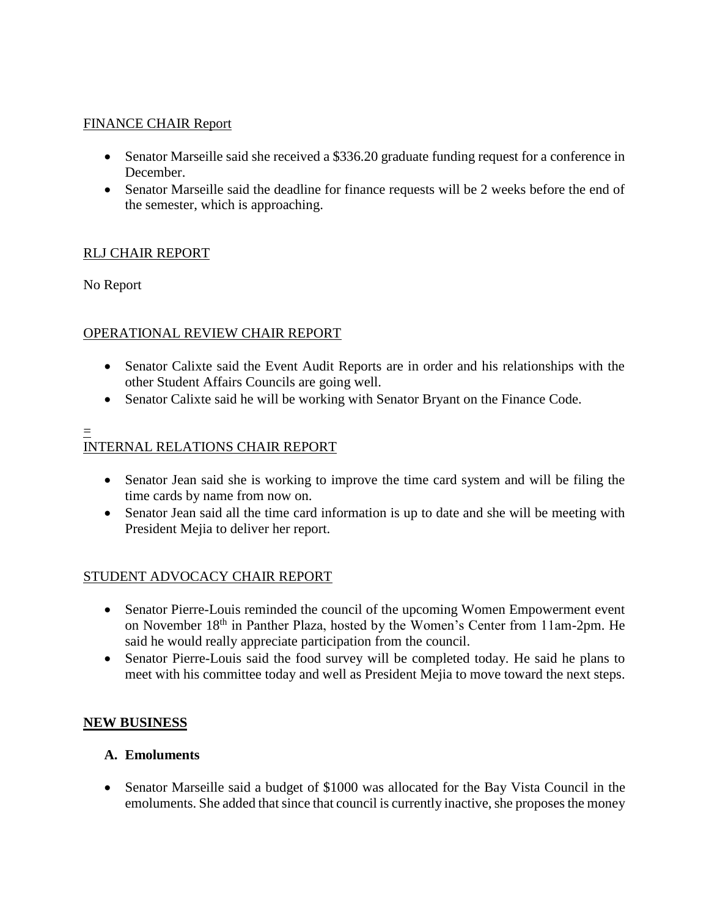### FINANCE CHAIR Report

- Senator Marseille said she received a \$336.20 graduate funding request for a conference in December.
- Senator Marseille said the deadline for finance requests will be 2 weeks before the end of the semester, which is approaching.

#### RLJ CHAIR REPORT

No Report

#### OPERATIONAL REVIEW CHAIR REPORT

- Senator Calixte said the Event Audit Reports are in order and his relationships with the other Student Affairs Councils are going well.
- Senator Calixte said he will be working with Senator Bryant on the Finance Code.

#### = INTERNAL RELATIONS CHAIR REPORT

- Senator Jean said she is working to improve the time card system and will be filing the time cards by name from now on.
- Senator Jean said all the time card information is up to date and she will be meeting with President Mejia to deliver her report.

#### STUDENT ADVOCACY CHAIR REPORT

- Senator Pierre-Louis reminded the council of the upcoming Women Empowerment event on November 18<sup>th</sup> in Panther Plaza, hosted by the Women's Center from 11am-2pm. He said he would really appreciate participation from the council.
- Senator Pierre-Louis said the food survey will be completed today. He said he plans to meet with his committee today and well as President Mejia to move toward the next steps.

#### **NEW BUSINESS**

#### **A. Emoluments**

 Senator Marseille said a budget of \$1000 was allocated for the Bay Vista Council in the emoluments. She added that since that council is currently inactive, she proposes the money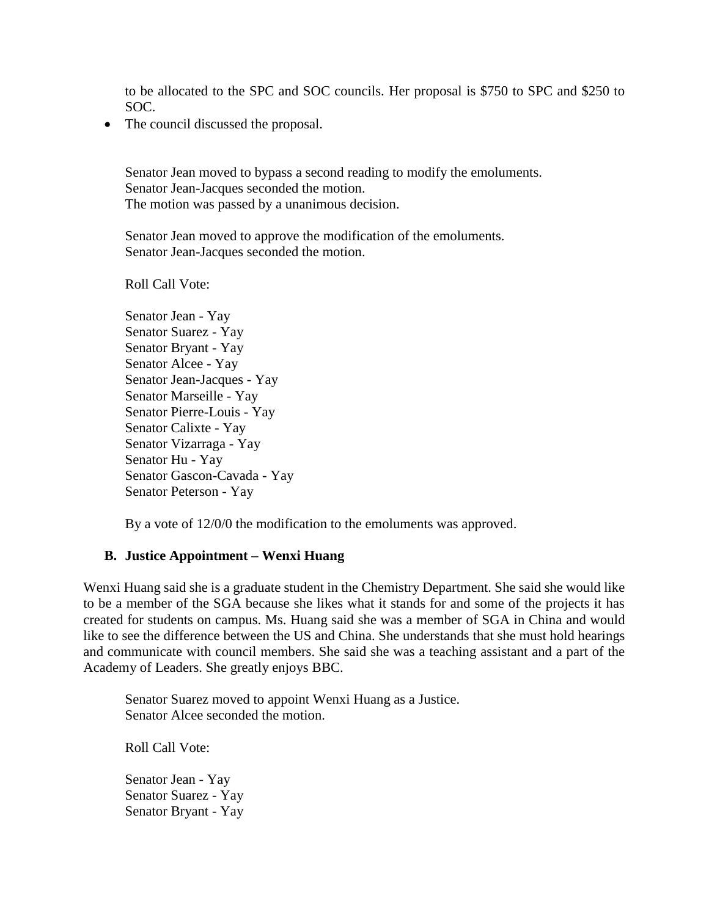to be allocated to the SPC and SOC councils. Her proposal is \$750 to SPC and \$250 to SOC.

• The council discussed the proposal.

Senator Jean moved to bypass a second reading to modify the emoluments. Senator Jean-Jacques seconded the motion. The motion was passed by a unanimous decision.

Senator Jean moved to approve the modification of the emoluments. Senator Jean-Jacques seconded the motion.

Roll Call Vote:

Senator Jean - Yay Senator Suarez - Yay Senator Bryant - Yay Senator Alcee - Yay Senator Jean-Jacques - Yay Senator Marseille - Yay Senator Pierre-Louis - Yay Senator Calixte - Yay Senator Vizarraga - Yay Senator Hu - Yay Senator Gascon-Cavada - Yay Senator Peterson - Yay

By a vote of 12/0/0 the modification to the emoluments was approved.

#### **B. Justice Appointment – Wenxi Huang**

Wenxi Huang said she is a graduate student in the Chemistry Department. She said she would like to be a member of the SGA because she likes what it stands for and some of the projects it has created for students on campus. Ms. Huang said she was a member of SGA in China and would like to see the difference between the US and China. She understands that she must hold hearings and communicate with council members. She said she was a teaching assistant and a part of the Academy of Leaders. She greatly enjoys BBC.

Senator Suarez moved to appoint Wenxi Huang as a Justice. Senator Alcee seconded the motion.

Roll Call Vote:

Senator Jean - Yay Senator Suarez - Yay Senator Bryant - Yay